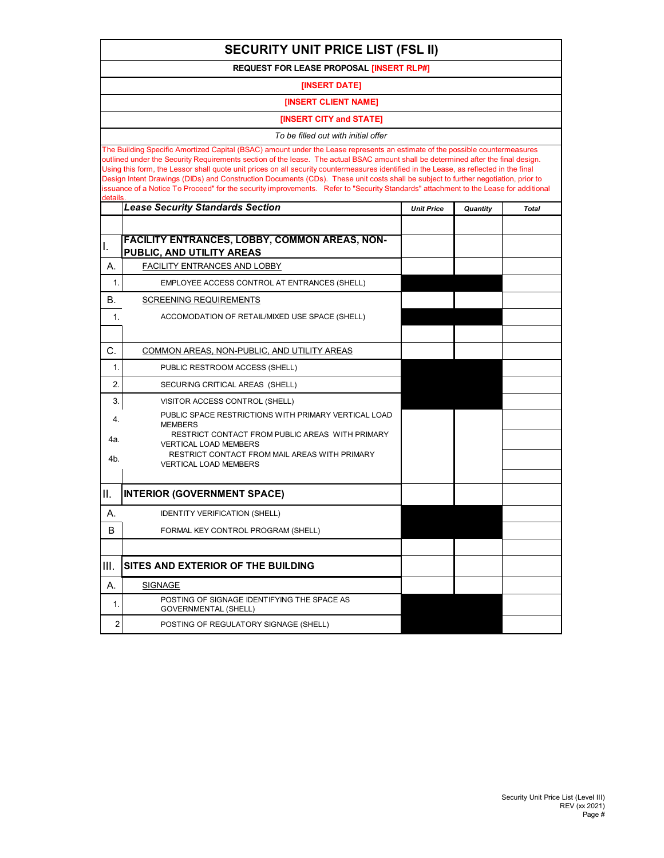| <b>SECURITY UNIT PRICE LIST (FSL II)</b>                                                                                                                                                                                                                                                                                                                                                                                                                                                                                                                                                                                                                                                             |                                                                            |                   |          |              |  |  |  |  |
|------------------------------------------------------------------------------------------------------------------------------------------------------------------------------------------------------------------------------------------------------------------------------------------------------------------------------------------------------------------------------------------------------------------------------------------------------------------------------------------------------------------------------------------------------------------------------------------------------------------------------------------------------------------------------------------------------|----------------------------------------------------------------------------|-------------------|----------|--------------|--|--|--|--|
| <b>REQUEST FOR LEASE PROPOSAL [INSERT RLP#]</b>                                                                                                                                                                                                                                                                                                                                                                                                                                                                                                                                                                                                                                                      |                                                                            |                   |          |              |  |  |  |  |
| [INSERT DATE]                                                                                                                                                                                                                                                                                                                                                                                                                                                                                                                                                                                                                                                                                        |                                                                            |                   |          |              |  |  |  |  |
| <b>IINSERT CLIENT NAME1</b>                                                                                                                                                                                                                                                                                                                                                                                                                                                                                                                                                                                                                                                                          |                                                                            |                   |          |              |  |  |  |  |
|                                                                                                                                                                                                                                                                                                                                                                                                                                                                                                                                                                                                                                                                                                      | [INSERT CITY and STATE]                                                    |                   |          |              |  |  |  |  |
|                                                                                                                                                                                                                                                                                                                                                                                                                                                                                                                                                                                                                                                                                                      | To be filled out with initial offer                                        |                   |          |              |  |  |  |  |
| The Building Specific Amortized Capital (BSAC) amount under the Lease represents an estimate of the possible countermeasures<br>outlined under the Security Requirements section of the lease. The actual BSAC amount shall be determined after the final design.<br>Using this form, the Lessor shall quote unit prices on all security countermeasures identified in the Lease, as reflected in the final<br>Design Intent Drawings (DIDs) and Construction Documents (CDs). These unit costs shall be subject to further negotiation, prior to<br>issuance of a Notice To Proceed" for the security improvements. Refer to "Security Standards" attachment to the Lease for additional<br>details |                                                                            |                   |          |              |  |  |  |  |
|                                                                                                                                                                                                                                                                                                                                                                                                                                                                                                                                                                                                                                                                                                      | <b>Lease Security Standards Section</b>                                    | <b>Unit Price</b> | Quantity | <b>Total</b> |  |  |  |  |
|                                                                                                                                                                                                                                                                                                                                                                                                                                                                                                                                                                                                                                                                                                      |                                                                            |                   |          |              |  |  |  |  |
| Π.                                                                                                                                                                                                                                                                                                                                                                                                                                                                                                                                                                                                                                                                                                   | FACILITY ENTRANCES, LOBBY, COMMON AREAS, NON-<br>PUBLIC, AND UTILITY AREAS |                   |          |              |  |  |  |  |
| А.                                                                                                                                                                                                                                                                                                                                                                                                                                                                                                                                                                                                                                                                                                   | <b>FACILITY ENTRANCES AND LOBBY</b>                                        |                   |          |              |  |  |  |  |
| 1.                                                                                                                                                                                                                                                                                                                                                                                                                                                                                                                                                                                                                                                                                                   | EMPLOYEE ACCESS CONTROL AT ENTRANCES (SHELL)                               |                   |          |              |  |  |  |  |
| В.                                                                                                                                                                                                                                                                                                                                                                                                                                                                                                                                                                                                                                                                                                   | <b>SCREENING REQUIREMENTS</b>                                              |                   |          |              |  |  |  |  |
| 1.                                                                                                                                                                                                                                                                                                                                                                                                                                                                                                                                                                                                                                                                                                   | ACCOMODATION OF RETAIL/MIXED USE SPACE (SHELL)                             |                   |          |              |  |  |  |  |
|                                                                                                                                                                                                                                                                                                                                                                                                                                                                                                                                                                                                                                                                                                      |                                                                            |                   |          |              |  |  |  |  |
| C.                                                                                                                                                                                                                                                                                                                                                                                                                                                                                                                                                                                                                                                                                                   | COMMON AREAS, NON-PUBLIC, AND UTILITY AREAS                                |                   |          |              |  |  |  |  |
| $\mathbf 1$                                                                                                                                                                                                                                                                                                                                                                                                                                                                                                                                                                                                                                                                                          | PUBLIC RESTROOM ACCESS (SHELL)                                             |                   |          |              |  |  |  |  |
| 2.                                                                                                                                                                                                                                                                                                                                                                                                                                                                                                                                                                                                                                                                                                   | SECURING CRITICAL AREAS (SHELL)                                            |                   |          |              |  |  |  |  |
| 3.                                                                                                                                                                                                                                                                                                                                                                                                                                                                                                                                                                                                                                                                                                   | VISITOR ACCESS CONTROL (SHELL)                                             |                   |          |              |  |  |  |  |
| 4.                                                                                                                                                                                                                                                                                                                                                                                                                                                                                                                                                                                                                                                                                                   | PUBLIC SPACE RESTRICTIONS WITH PRIMARY VERTICAL LOAD<br><b>MEMBERS</b>     |                   |          |              |  |  |  |  |
| 4a.                                                                                                                                                                                                                                                                                                                                                                                                                                                                                                                                                                                                                                                                                                  | RESTRICT CONTACT FROM PUBLIC AREAS WITH PRIMARY                            |                   |          |              |  |  |  |  |
| 4b.                                                                                                                                                                                                                                                                                                                                                                                                                                                                                                                                                                                                                                                                                                  | VERTICAL LOAD MEMBERS<br>RESTRICT CONTACT FROM MAIL AREAS WITH PRIMARY     |                   |          |              |  |  |  |  |
|                                                                                                                                                                                                                                                                                                                                                                                                                                                                                                                                                                                                                                                                                                      | <b>VERTICAL LOAD MEMBERS</b>                                               |                   |          |              |  |  |  |  |
| Ш.                                                                                                                                                                                                                                                                                                                                                                                                                                                                                                                                                                                                                                                                                                   | <b>INTERIOR (GOVERNMENT SPACE)</b>                                         |                   |          |              |  |  |  |  |
|                                                                                                                                                                                                                                                                                                                                                                                                                                                                                                                                                                                                                                                                                                      |                                                                            |                   |          |              |  |  |  |  |
| А.                                                                                                                                                                                                                                                                                                                                                                                                                                                                                                                                                                                                                                                                                                   | <b>IDENTITY VERIFICATION (SHELL)</b>                                       |                   |          |              |  |  |  |  |
| B                                                                                                                                                                                                                                                                                                                                                                                                                                                                                                                                                                                                                                                                                                    | FORMAL KEY CONTROL PROGRAM (SHELL)                                         |                   |          |              |  |  |  |  |
|                                                                                                                                                                                                                                                                                                                                                                                                                                                                                                                                                                                                                                                                                                      |                                                                            |                   |          |              |  |  |  |  |
| III.                                                                                                                                                                                                                                                                                                                                                                                                                                                                                                                                                                                                                                                                                                 | SITES AND EXTERIOR OF THE BUILDING                                         |                   |          |              |  |  |  |  |
| А.                                                                                                                                                                                                                                                                                                                                                                                                                                                                                                                                                                                                                                                                                                   | <b>SIGNAGE</b>                                                             |                   |          |              |  |  |  |  |
| 1.                                                                                                                                                                                                                                                                                                                                                                                                                                                                                                                                                                                                                                                                                                   | POSTING OF SIGNAGE IDENTIFYING THE SPACE AS<br>GOVERNMENTAL (SHELL)        |                   |          |              |  |  |  |  |
| 2                                                                                                                                                                                                                                                                                                                                                                                                                                                                                                                                                                                                                                                                                                    | POSTING OF REGULATORY SIGNAGE (SHELL)                                      |                   |          |              |  |  |  |  |